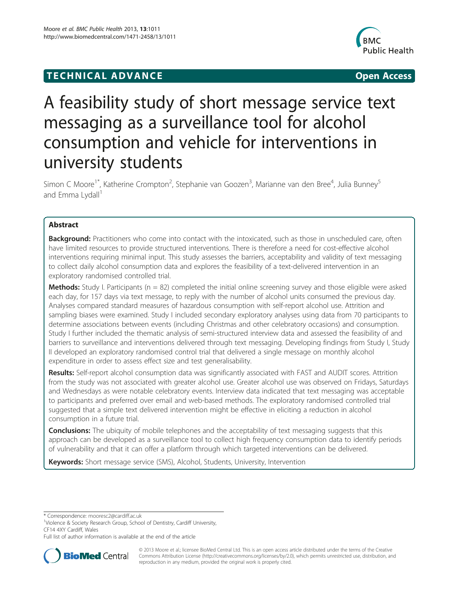# **TECHNICAL ADVANCE CONSUMING ACCESS**



# A feasibility study of short message service text messaging as a surveillance tool for alcohol consumption and vehicle for interventions in university students

Simon C Moore<sup>1\*</sup>, Katherine Crompton<sup>2</sup>, Stephanie van Goozen<sup>3</sup>, Marianne van den Bree<sup>4</sup>, Julia Bunney<sup>5</sup> and Emma Lydall<sup>1</sup>

# Abstract

Background: Practitioners who come into contact with the intoxicated, such as those in unscheduled care, often have limited resources to provide structured interventions. There is therefore a need for cost-effective alcohol interventions requiring minimal input. This study assesses the barriers, acceptability and validity of text messaging to collect daily alcohol consumption data and explores the feasibility of a text-delivered intervention in an exploratory randomised controlled trial.

**Methods:** Study I. Participants ( $n = 82$ ) completed the initial online screening survey and those eligible were asked each day, for 157 days via text message, to reply with the number of alcohol units consumed the previous day. Analyses compared standard measures of hazardous consumption with self-report alcohol use. Attrition and sampling biases were examined. Study I included secondary exploratory analyses using data from 70 participants to determine associations between events (including Christmas and other celebratory occasions) and consumption. Study I further included the thematic analysis of semi-structured interview data and assessed the feasibility of and barriers to surveillance and interventions delivered through text messaging. Developing findings from Study I, Study II developed an exploratory randomised control trial that delivered a single message on monthly alcohol expenditure in order to assess effect size and test generalisability.

Results: Self-report alcohol consumption data was significantly associated with FAST and AUDIT scores. Attrition from the study was not associated with greater alcohol use. Greater alcohol use was observed on Fridays, Saturdays and Wednesdays as were notable celebratory events. Interview data indicated that text messaging was acceptable to participants and preferred over email and web-based methods. The exploratory randomised controlled trial suggested that a simple text delivered intervention might be effective in eliciting a reduction in alcohol consumption in a future trial.

**Conclusions:** The ubiquity of mobile telephones and the acceptability of text messaging suggests that this approach can be developed as a surveillance tool to collect high frequency consumption data to identify periods of vulnerability and that it can offer a platform through which targeted interventions can be delivered.

Keywords: Short message service (SMS), Alcohol, Students, University, Intervention

\* Correspondence: [mooresc2@cardiff.ac.uk](mailto:mooresc2@cardiff.ac.uk) <sup>1</sup>

<sup>1</sup>Violence & Society Research Group, School of Dentistry, Cardiff University, CF14 4XY Cardiff, Wales

Full list of author information is available at the end of the article



© 2013 Moore et al.; licensee BioMed Central Ltd. This is an open access article distributed under the terms of the Creative Commons Attribution License [\(http://creativecommons.org/licenses/by/2.0\)](http://creativecommons.org/licenses/by/2.0), which permits unrestricted use, distribution, and reproduction in any medium, provided the original work is properly cited.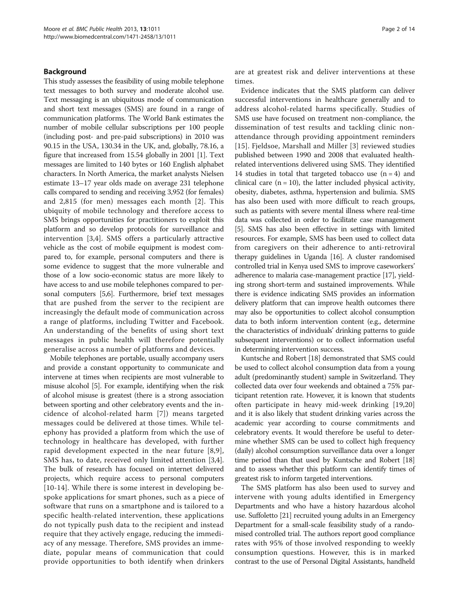#### Background

This study assesses the feasibility of using mobile telephone text messages to both survey and moderate alcohol use. Text messaging is an ubiquitous mode of communication and short text messages (SMS) are found in a range of communication platforms. The World Bank estimates the number of mobile cellular subscriptions per 100 people (including post- and pre-paid subscriptions) in 2010 was 90.15 in the USA, 130.34 in the UK, and, globally, 78.16, a figure that increased from 15.54 globally in 2001 [[1\]](#page-12-0). Text messages are limited to 140 bytes or 160 English alphabet characters. In North America, the market analysts Nielsen estimate 13–17 year olds made on average 231 telephone calls compared to sending and receiving 3,952 (for females) and 2,815 (for men) messages each month [\[2](#page-12-0)]. This ubiquity of mobile technology and therefore access to SMS brings opportunities for practitioners to exploit this platform and so develop protocols for surveillance and intervention [[3,4](#page-12-0)]. SMS offers a particularly attractive vehicle as the cost of mobile equipment is modest compared to, for example, personal computers and there is some evidence to suggest that the more vulnerable and those of a low socio-economic status are more likely to have access to and use mobile telephones compared to personal computers [\[5,6\]](#page-12-0). Furthermore, brief text messages that are pushed from the server to the recipient are increasingly the default mode of communication across a range of platforms, including Twitter and Facebook. An understanding of the benefits of using short text messages in public health will therefore potentially generalise across a number of platforms and devices.

Mobile telephones are portable, usually accompany users and provide a constant opportunity to communicate and intervene at times when recipients are most vulnerable to misuse alcohol [\[5\]](#page-12-0). For example, identifying when the risk of alcohol misuse is greatest (there is a strong association between sporting and other celebratory events and the incidence of alcohol-related harm [[7](#page-12-0)]) means targeted messages could be delivered at those times. While telephony has provided a platform from which the use of technology in healthcare has developed, with further rapid development expected in the near future [[8,9](#page-12-0)], SMS has, to date, received only limited attention [[3](#page-12-0),[4](#page-12-0)]. The bulk of research has focused on internet delivered projects, which require access to personal computers [[10](#page-12-0)-[14](#page-12-0)]. While there is some interest in developing bespoke applications for smart phones, such as a piece of software that runs on a smartphone and is tailored to a specific health-related intervention, these applications do not typically push data to the recipient and instead require that they actively engage, reducing the immediacy of any message. Therefore, SMS provides an immediate, popular means of communication that could provide opportunities to both identify when drinkers

are at greatest risk and deliver interventions at these times.

Evidence indicates that the SMS platform can deliver successful interventions in healthcare generally and to address alcohol-related harms specifically. Studies of SMS use have focused on treatment non-compliance, the dissemination of test results and tackling clinic nonattendance through providing appointment reminders [[15](#page-12-0)]. Fjeldsoe, Marshall and Miller [\[3](#page-12-0)] reviewed studies published between 1990 and 2008 that evaluated healthrelated interventions delivered using SMS. They identified 14 studies in total that targeted tobacco use  $(n = 4)$  and clinical care  $(n = 10)$ , the latter included physical activity, obesity, diabetes, asthma, hypertension and bulimia. SMS has also been used with more difficult to reach groups, such as patients with severe mental illness where real-time data was collected in order to facilitate case management [[5](#page-12-0)]. SMS has also been effective in settings with limited resources. For example, SMS has been used to collect data from caregivers on their adherence to anti-retroviral therapy guidelines in Uganda [[16](#page-12-0)]. A cluster randomised controlled trial in Kenya used SMS to improve caseworkers' adherence to malaria case-management practice [[17](#page-12-0)], yielding strong short-term and sustained improvements. While there is evidence indicating SMS provides an information delivery platform that can improve health outcomes there may also be opportunities to collect alcohol consumption data to both inform intervention content (e.g., determine the characteristics of individuals' drinking patterns to guide subsequent interventions) or to collect information useful in determining intervention success.

Kuntsche and Robert [\[18\]](#page-13-0) demonstrated that SMS could be used to collect alcohol consumption data from a young adult (predominantly student) sample in Switzerland. They collected data over four weekends and obtained a 75% participant retention rate. However, it is known that students often participate in heavy mid-week drinking [\[19,20](#page-13-0)] and it is also likely that student drinking varies across the academic year according to course commitments and celebratory events. It would therefore be useful to determine whether SMS can be used to collect high frequency (daily) alcohol consumption surveillance data over a longer time period than that used by Kuntsche and Robert [\[18](#page-13-0)] and to assess whether this platform can identify times of greatest risk to inform targeted interventions.

The SMS platform has also been used to survey and intervene with young adults identified in Emergency Departments and who have a history hazardous alcohol use. Suffoletto [\[21\]](#page-13-0) recruited young adults in an Emergency Department for a small-scale feasibility study of a randomised controlled trial. The authors report good compliance rates with 95% of those involved responding to weekly consumption questions. However, this is in marked contrast to the use of Personal Digital Assistants, handheld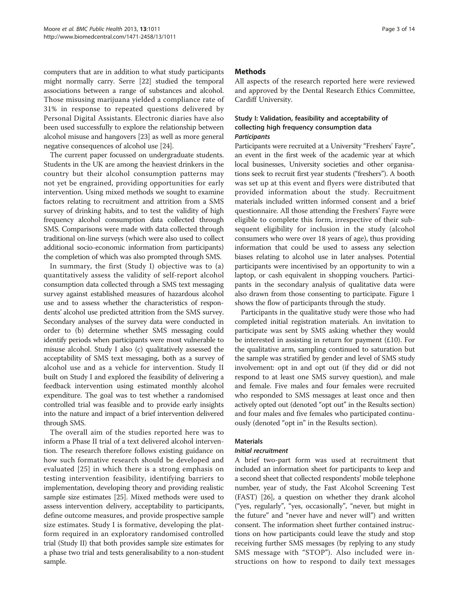computers that are in addition to what study participants might normally carry. Serre [[22](#page-13-0)] studied the temporal associations between a range of substances and alcohol. Those misusing marijuana yielded a compliance rate of 31% in response to repeated questions delivered by Personal Digital Assistants. Electronic diaries have also been used successfully to explore the relationship between alcohol misuse and hangovers [\[23\]](#page-13-0) as well as more general negative consequences of alcohol use [[24](#page-13-0)].

The current paper focussed on undergraduate students. Students in the UK are among the heaviest drinkers in the country but their alcohol consumption patterns may not yet be engrained, providing opportunities for early intervention. Using mixed methods we sought to examine factors relating to recruitment and attrition from a SMS survey of drinking habits, and to test the validity of high frequency alcohol consumption data collected through SMS. Comparisons were made with data collected through traditional on-line surveys (which were also used to collect additional socio-economic information from participants) the completion of which was also prompted through SMS.

In summary, the first (Study I) objective was to (a) quantitatively assess the validity of self-report alcohol consumption data collected through a SMS text messaging survey against established measures of hazardous alcohol use and to assess whether the characteristics of respondents' alcohol use predicted attrition from the SMS survey. Secondary analyses of the survey data were conducted in order to (b) determine whether SMS messaging could identify periods when participants were most vulnerable to misuse alcohol. Study I also (c) qualitatively assessed the acceptability of SMS text messaging, both as a survey of alcohol use and as a vehicle for intervention. Study II built on Study I and explored the feasibility of delivering a feedback intervention using estimated monthly alcohol expenditure. The goal was to test whether a randomised controlled trial was feasible and to provide early insights into the nature and impact of a brief intervention delivered through SMS.

The overall aim of the studies reported here was to inform a Phase II trial of a text delivered alcohol intervention. The research therefore follows existing guidance on how such formative research should be developed and evaluated [[25](#page-13-0)] in which there is a strong emphasis on testing intervention feasibility, identifying barriers to implementation, developing theory and providing realistic sample size estimates [\[25\]](#page-13-0). Mixed methods were used to assess intervention delivery, acceptability to participants, define outcome measures, and provide prospective sample size estimates. Study I is formative, developing the platform required in an exploratory randomised controlled trial (Study II) that both provides sample size estimates for a phase two trial and tests generalisability to a non-student sample.

# **Methods**

All aspects of the research reported here were reviewed and approved by the Dental Research Ethics Committee, Cardiff University.

#### Study I: Validation, feasibility and acceptability of collecting high frequency consumption data **Participants**

Participants were recruited at a University "Freshers' Fayre", an event in the first week of the academic year at which local businesses, University societies and other organisations seek to recruit first year students ("freshers"). A booth was set up at this event and flyers were distributed that provided information about the study. Recruitment materials included written informed consent and a brief questionnaire. All those attending the Freshers' Fayre were eligible to complete this form, irrespective of their subsequent eligibility for inclusion in the study (alcohol consumers who were over 18 years of age), thus providing information that could be used to assess any selection biases relating to alcohol use in later analyses. Potential participants were incentivised by an opportunity to win a laptop, or cash equivalent in shopping vouchers. Participants in the secondary analysis of qualitative data were also drawn from those consenting to participate. Figure [1](#page-3-0) shows the flow of participants through the study.

Participants in the qualitative study were those who had completed initial registration materials. An invitation to participate was sent by SMS asking whether they would be interested in assisting in return for payment (£10). For the qualitative arm, sampling continued to saturation but the sample was stratified by gender and level of SMS study involvement: opt in and opt out (if they did or did not respond to at least one SMS survey question), and male and female. Five males and four females were recruited who responded to SMS messages at least once and then actively opted out (denoted "opt out" in the [Results](#page-6-0) section) and four males and five females who participated continuously (denoted "opt in" in the [Results](#page-6-0) section).

#### **Materials**

#### Initial recruitment

A brief two-part form was used at recruitment that included an information sheet for participants to keep and a second sheet that collected respondents' mobile telephone number, year of study, the Fast Alcohol Screening Test (FAST) [[26](#page-13-0)], a question on whether they drank alcohol ("yes, regularly", "yes, occasionally", "never, but might in the future" and "never have and never will") and written consent. The information sheet further contained instructions on how participants could leave the study and stop receiving further SMS messages (by replying to any study SMS message with "STOP"). Also included were instructions on how to respond to daily text messages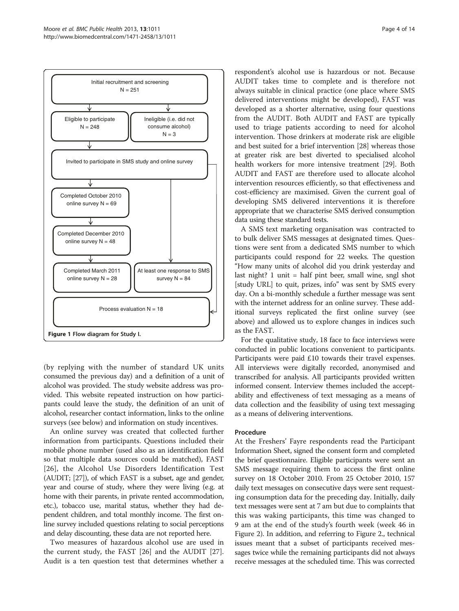<span id="page-3-0"></span>

(by replying with the number of standard UK units consumed the previous day) and a definition of a unit of alcohol was provided. The study website address was provided. This website repeated instruction on how participants could leave the study, the definition of an unit of alcohol, researcher contact information, links to the online surveys (see below) and information on study incentives.

An online survey was created that collected further information from participants. Questions included their mobile phone number (used also as an identification field so that multiple data sources could be matched), FAST [[26](#page-13-0)], the Alcohol Use Disorders Identification Test (AUDIT; [[27](#page-13-0)]), of which FAST is a subset, age and gender, year and course of study, where they were living (e.g. at home with their parents, in private rented accommodation, etc.), tobacco use, marital status, whether they had dependent children, and total monthly income. The first online survey included questions relating to social perceptions and delay discounting, these data are not reported here.

Two measures of hazardous alcohol use are used in the current study, the FAST [[26\]](#page-13-0) and the AUDIT [\[27](#page-13-0)]. Audit is a ten question test that determines whether a

respondent's alcohol use is hazardous or not. Because AUDIT takes time to complete and is therefore not always suitable in clinical practice (one place where SMS delivered interventions might be developed), FAST was developed as a shorter alternative, using four questions from the AUDIT. Both AUDIT and FAST are typically used to triage patients according to need for alcohol intervention. Those drinkers at moderate risk are eligible and best suited for a brief intervention [\[28\]](#page-13-0) whereas those at greater risk are best diverted to specialised alcohol health workers for more intensive treatment [[29](#page-13-0)]. Both AUDIT and FAST are therefore used to allocate alcohol intervention resources efficiently, so that effectiveness and cost-efficiency are maximised. Given the current goal of developing SMS delivered interventions it is therefore appropriate that we characterise SMS derived consumption data using these standard tests.

A SMS text marketing organisation was contracted to to bulk deliver SMS messages at designated times. Questions were sent from a dedicated SMS number to which participants could respond for 22 weeks. The question "How many units of alcohol did you drink yesterday and last night? 1 unit = half pint beer, small wine, sngl shot [study URL] to quit, prizes, info" was sent by SMS every day. On a bi-monthly schedule a further message was sent with the internet address for an online survey. These additional surveys replicated the first online survey (see above) and allowed us to explore changes in indices such as the FAST.

For the qualitative study, 18 face to face interviews were conducted in public locations convenient to participants. Participants were paid £10 towards their travel expenses. All interviews were digitally recorded, anonymised and transcribed for analysis. All participants provided written informed consent. Interview themes included the acceptability and effectiveness of text messaging as a means of data collection and the feasibility of using text messaging as a means of delivering interventions.

#### Procedure

At the Freshers' Fayre respondents read the Participant Information Sheet, signed the consent form and completed the brief questionnaire. Eligible participants were sent an SMS message requiring them to access the first online survey on 18 October 2010. From 25 October 2010, 157 daily text messages on consecutive days were sent requesting consumption data for the preceding day. Initially, daily text messages were sent at 7 am but due to complaints that this was waking participants, this time was changed to 9 am at the end of the study's fourth week (week 46 in Figure [2\)](#page-4-0). In addition, and referring to Figure [2](#page-4-0)., technical issues meant that a subset of participants received messages twice while the remaining participants did not always receive messages at the scheduled time. This was corrected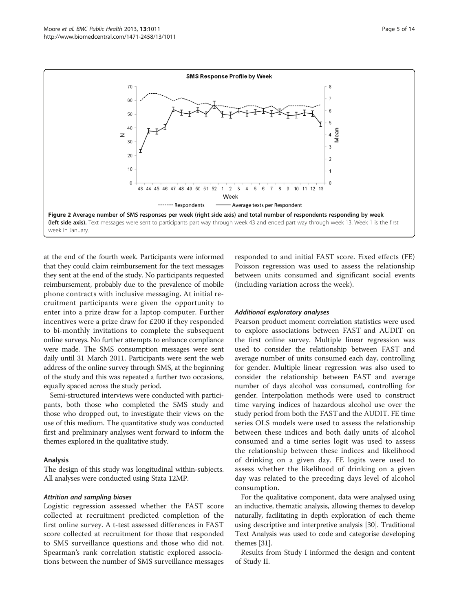<span id="page-4-0"></span>

at the end of the fourth week. Participants were informed that they could claim reimbursement for the text messages they sent at the end of the study. No participants requested reimbursement, probably due to the prevalence of mobile phone contracts with inclusive messaging. At initial recruitment participants were given the opportunity to enter into a prize draw for a laptop computer. Further incentives were a prize draw for £200 if they responded to bi-monthly invitations to complete the subsequent online surveys. No further attempts to enhance compliance were made. The SMS consumption messages were sent daily until 31 March 2011. Participants were sent the web address of the online survey through SMS, at the beginning of the study and this was repeated a further two occasions, equally spaced across the study period.

Semi-structured interviews were conducted with participants, both those who completed the SMS study and those who dropped out, to investigate their views on the use of this medium. The quantitative study was conducted first and preliminary analyses went forward to inform the themes explored in the qualitative study.

#### Analysis

The design of this study was longitudinal within-subjects. All analyses were conducted using Stata 12MP.

### Attrition and sampling biases

Logistic regression assessed whether the FAST score collected at recruitment predicted completion of the first online survey. A t-test assessed differences in FAST score collected at recruitment for those that responded to SMS surveillance questions and those who did not. Spearman's rank correlation statistic explored associations between the number of SMS surveillance messages responded to and initial FAST score. Fixed effects (FE) Poisson regression was used to assess the relationship between units consumed and significant social events (including variation across the week).

#### Additional exploratory analyses

Pearson product moment correlation statistics were used to explore associations between FAST and AUDIT on the first online survey. Multiple linear regression was used to consider the relationship between FAST and average number of units consumed each day, controlling for gender. Multiple linear regression was also used to consider the relationship between FAST and average number of days alcohol was consumed, controlling for gender. Interpolation methods were used to construct time varying indices of hazardous alcohol use over the study period from both the FAST and the AUDIT. FE time series OLS models were used to assess the relationship between these indices and both daily units of alcohol consumed and a time series logit was used to assess the relationship between these indices and likelihood of drinking on a given day. FE logits were used to assess whether the likelihood of drinking on a given day was related to the preceding days level of alcohol consumption.

For the qualitative component, data were analysed using an inductive, thematic analysis, allowing themes to develop naturally, facilitating in depth exploration of each theme using descriptive and interpretive analysis [[30](#page-13-0)]. Traditional Text Analysis was used to code and categorise developing themes [[31](#page-13-0)].

Results from Study I informed the design and content of Study II.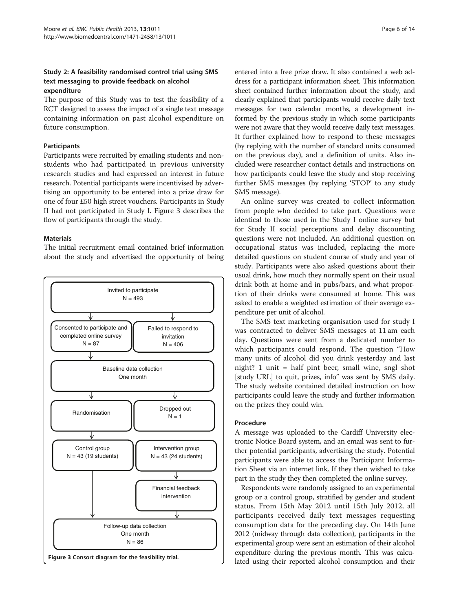# Study 2: A feasibility randomised control trial using SMS text messaging to provide feedback on alcohol expenditure

The purpose of this Study was to test the feasibility of a RCT designed to assess the impact of a single text message containing information on past alcohol expenditure on future consumption.

#### Participants

Participants were recruited by emailing students and nonstudents who had participated in previous university research studies and had expressed an interest in future research. Potential participants were incentivised by advertising an opportunity to be entered into a prize draw for one of four £50 high street vouchers. Participants in Study II had not participated in Study I. Figure 3 describes the flow of participants through the study.

#### Materials

The initial recruitment email contained brief information about the study and advertised the opportunity of being



entered into a free prize draw. It also contained a web address for a participant information sheet. This information sheet contained further information about the study, and clearly explained that participants would receive daily text messages for two calendar months, a development informed by the previous study in which some participants were not aware that they would receive daily text messages. It further explained how to respond to these messages (by replying with the number of standard units consumed on the previous day), and a definition of units. Also included were researcher contact details and instructions on how participants could leave the study and stop receiving further SMS messages (by replying 'STOP' to any study SMS message).

An online survey was created to collect information from people who decided to take part. Questions were identical to those used in the Study I online survey but for Study II social perceptions and delay discounting questions were not included. An additional question on occupational status was included, replacing the more detailed questions on student course of study and year of study. Participants were also asked questions about their usual drink, how much they normally spent on their usual drink both at home and in pubs/bars, and what proportion of their drinks were consumed at home. This was asked to enable a weighted estimation of their average expenditure per unit of alcohol.

The SMS text marketing organisation used for study I was contracted to deliver SMS messages at 11 am each day. Questions were sent from a dedicated number to which participants could respond. The question "How many units of alcohol did you drink yesterday and last night? 1 unit = half pint beer, small wine, sngl shot [study URL] to quit, prizes, info" was sent by SMS daily. The study website contained detailed instruction on how participants could leave the study and further information on the prizes they could win.

#### Procedure

A message was uploaded to the Cardiff University electronic Notice Board system, and an email was sent to further potential participants, advertising the study. Potential participants were able to access the Participant Information Sheet via an internet link. If they then wished to take part in the study they then completed the online survey.

Respondents were randomly assigned to an experimental group or a control group, stratified by gender and student status. From 15th May 2012 until 15th July 2012, all participants received daily text messages requesting consumption data for the preceding day. On 14th June 2012 (midway through data collection), participants in the experimental group were sent an estimation of their alcohol expenditure during the previous month. This was calculated using their reported alcohol consumption and their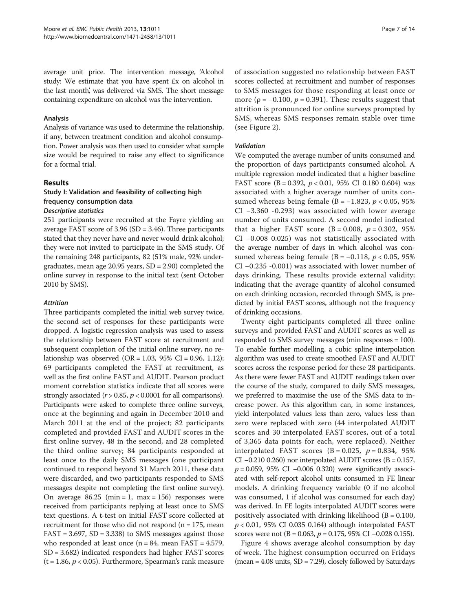<span id="page-6-0"></span>average unit price. The intervention message, 'Alcohol study: We estimate that you have spent £x on alcohol in the last month, was delivered via SMS. The short message containing expenditure on alcohol was the intervention.

#### Analysis

Analysis of variance was used to determine the relationship, if any, between treatment condition and alcohol consumption. Power analysis was then used to consider what sample size would be required to raise any effect to significance for a formal trial.

#### Results

# Study I: Validation and feasibility of collecting high frequency consumption data

## Descriptive statistics

251 participants were recruited at the Fayre yielding an average FAST score of 3.96 (SD = 3.46). Three participants stated that they never have and never would drink alcohol; they were not invited to participate in the SMS study. Of the remaining 248 participants, 82 (51% male, 92% undergraduates, mean age 20.95 years, SD = 2.90) completed the online survey in response to the initial text (sent October 2010 by SMS).

#### Attrition

Three participants completed the initial web survey twice, the second set of responses for these participants were dropped. A logistic regression analysis was used to assess the relationship between FAST score at recruitment and subsequent completion of the initial online survey, no relationship was observed  $(OR = 1.03, 95\% \text{ CI} = 0.96, 1.12);$ 69 participants completed the FAST at recruitment, as well as the first online FAST and AUDIT. Pearson product moment correlation statistics indicate that all scores were strongly associated ( $r > 0.85$ ,  $p < 0.0001$  for all comparisons). Participants were asked to complete three online surveys, once at the beginning and again in December 2010 and March 2011 at the end of the project; 82 participants completed and provided FAST and AUDIT scores in the first online survey, 48 in the second, and 28 completed the third online survey; 84 participants responded at least once to the daily SMS messages (one participant continued to respond beyond 31 March 2011, these data were discarded, and two participants responded to SMS messages despite not completing the first online survey). On average  $86.25$  (min = 1, max = 156) responses were received from participants replying at least once to SMS text questions. A t-test on initial FAST score collected at recruitment for those who did not respond ( $n = 175$ , mean  $FAST = 3.697, SD = 3.338)$  to SMS messages against those who responded at least once  $(n = 84, \text{ mean } FAST = 4.579,$ SD = 3.682) indicated responders had higher FAST scores  $(t = 1.86, p < 0.05)$ . Furthermore, Spearman's rank measure

of association suggested no relationship between FAST scores collected at recruitment and number of responses to SMS messages for those responding at least once or more ( $\rho = -0.100$ ,  $p = 0.391$ ). These results suggest that attrition is pronounced for online surveys prompted by SMS, whereas SMS responses remain stable over time (see Figure [2\)](#page-4-0).

#### Validation

We computed the average number of units consumed and the proportion of days participants consumed alcohol. A multiple regression model indicated that a higher baseline FAST score (B = 0.392,  $p < 0.01$ , 95% CI 0.180 0.604) was associated with a higher average number of units consumed whereas being female (B =  $-1.823$ ,  $p < 0.05$ , 95% CI −3.360 -0.293) was associated with lower average number of units consumed. A second model indicated that a higher FAST score (B = 0.008,  $p = 0.302$ , 95% CI −0.008 0.025) was not statistically associated with the average number of days in which alcohol was consumed whereas being female (B =  $-0.118$ ,  $p < 0.05$ , 95% CI −0.235 -0.001) was associated with lower number of days drinking. These results provide external validity; indicating that the average quantity of alcohol consumed on each drinking occasion, recorded through SMS, is predicted by initial FAST scores, although not the frequency of drinking occasions.

Twenty eight participants completed all three online surveys and provided FAST and AUDIT scores as well as responded to SMS survey messages (min responses = 100). To enable further modelling, a cubic spline interpolation algorithm was used to create smoothed FAST and AUDIT scores across the response period for these 28 participants. As there were fewer FAST and AUDIT readings taken over the course of the study, compared to daily SMS messages, we preferred to maximise the use of the SMS data to increase power. As this algorithm can, in some instances, yield interpolated values less than zero, values less than zero were replaced with zero (44 interpolated AUDIT scores and 30 interpolated FAST scores, out of a total of 3,365 data points for each, were replaced). Neither interpolated FAST scores  $(B = 0.025, p = 0.834, 95\%)$ CI  $-0.210$  0.260) nor interpolated AUDIT scores (B = 0.157,  $p = 0.059$ , 95% CI –0.006 0.320) were significantly associated with self-report alcohol units consumed in FE linear models. A drinking frequency variable (0 if no alcohol was consumed, 1 if alcohol was consumed for each day) was derived. In FE logits interpolated AUDIT scores were positively associated with drinking likelihood ( $B = 0.100$ ,  $p < 0.01$ , 95% CI 0.035 0.164) although interpolated FAST scores were not (B = 0.063,  $p = 0.175$ , 95% CI –0.028 0.155).

Figure [4](#page-7-0) shows average alcohol consumption by day of week. The highest consumption occurred on Fridays  $($ mean = 4.08 units, SD = 7.29 $)$ , closely followed by Saturdays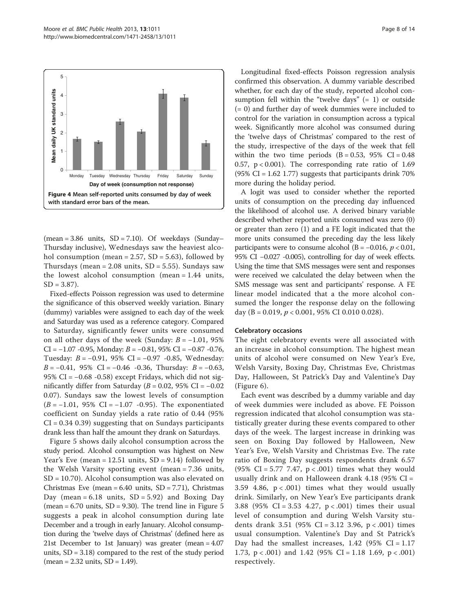<span id="page-7-0"></span>

(mean =  $3.86$  units, SD =  $7.10$ ). Of weekdays (Sunday– Thursday inclusive), Wednesdays saw the heaviest alcohol consumption (mean =  $2.57$ , SD =  $5.63$ ), followed by Thursdays (mean =  $2.08$  units,  $SD = 5.55$ ). Sundays saw the lowest alcohol consumption (mean = 1.44 units,  $SD = 3.87$ ).

Fixed-effects Poisson regression was used to determine the significance of this observed weekly variation. Binary (dummy) variables were assigned to each day of the week and Saturday was used as a reference category. Compared to Saturday, significantly fewer units were consumed on all other days of the week (Sunday:  $B = -1.01, 95\%$ CI =  $-1.07 - 0.95$ , Monday:  $B = -0.81$ , 95% CI =  $-0.87 - 0.76$ , Tuesday: B = −0.91, 95% CI = −0.97 -0.85, Wednesday:  $B = -0.41$ , 95% CI =  $-0.46$  -0.36, Thursday:  $B = -0.63$ , 95% CI = −0.68 -0.58) except Fridays, which did not significantly differ from Saturday ( $B = 0.02$ , 95% CI = -0.02 0.07). Sundays saw the lowest levels of consumption  $(B = -1.01, 95\% \text{ CI} = -1.07 \text{ -0.95}).$  The exponentiated coefficient on Sunday yields a rate ratio of 0.44 (95%  $CI = 0.34 0.39$ ) suggesting that on Sundays participants drank less than half the amount they drank on Saturdays.

Figure [5](#page-8-0) shows daily alcohol consumption across the study period. Alcohol consumption was highest on New Year's Eve (mean =  $12.51$  units, SD =  $9.14$ ) followed by the Welsh Varsity sporting event (mean = 7.36 units, SD = 10.70). Alcohol consumption was also elevated on Christmas Eve (mean =  $6.40$  units, SD =  $7.71$ ), Christmas Day (mean =  $6.18$  units,  $SD = 5.92$ ) and Boxing Day (mean  $= 6.70$  units,  $SD = 9.30$ ). The trend line in Figure [5](#page-8-0) suggests a peak in alcohol consumption during late December and a trough in early January. Alcohol consumption during the 'twelve days of Christmas' (defined here as 21st December to 1st January) was greater (mean = 4.07 units,  $SD = 3.18$ ) compared to the rest of the study period  $(mean = 2.32 \text{ units}, SD = 1.49).$ 

Longitudinal fixed-effects Poisson regression analysis confirmed this observation. A dummy variable described whether, for each day of the study, reported alcohol consumption fell within the "twelve days" (= 1) or outside (= 0) and further day of week dummies were included to control for the variation in consumption across a typical week. Significantly more alcohol was consumed during the 'twelve days of Christmas' compared to the rest of the study, irrespective of the days of the week that fell within the two time periods  $(B = 0.53, 95\% \text{ CI} = 0.48)$ 0.57,  $p < 0.001$ ). The corresponding rate ratio of 1.69  $(95\% \text{ CI} = 1.62 \text{ 1.77})$  suggests that participants drink 70% more during the holiday period.

A logit was used to consider whether the reported units of consumption on the preceding day influenced the likelihood of alcohol use. A derived binary variable described whether reported units consumed was zero (0) or greater than zero (1) and a FE logit indicated that the more units consumed the preceding day the less likely participants were to consume alcohol (B =  $-0.016$ ,  $p < 0.01$ , 95% CI −0.027 -0.005), controlling for day of week effects. Using the time that SMS messages were sent and responses were received we calculated the delay between when the SMS message was sent and participants' response. A FE linear model indicated that a the more alcohol consumed the longer the response delay on the following day (B = 0.019,  $p < 0.001$ , 95% CI 0.010 0.028).

# Celebratory occasions

The eight celebratory events were all associated with an increase in alcohol consumption. The highest mean units of alcohol were consumed on New Year's Eve, Welsh Varsity, Boxing Day, Christmas Eve, Christmas Day, Halloween, St Patrick's Day and Valentine's Day (Figure [6\)](#page-8-0).

Each event was described by a dummy variable and day of week dummies were included as above. FE Poisson regression indicated that alcohol consumption was statistically greater during these events compared to other days of the week. The largest increase in drinking was seen on Boxing Day followed by Halloween, New Year's Eve, Welsh Varsity and Christmas Eve. The rate ratio of Boxing Day suggests respondents drank 6.57 (95% CI = 5.77 7.47,  $p < .001$ ) times what they would usually drink and on Halloween drank 4.18 (95% CI = 3.59 4.86,  $p < .001$ ) times what they would usually drink. Similarly, on New Year's Eve participants drank 3.88 (95% CI = 3.53 4.27, p < .001) times their usual level of consumption and during Welsh Varsity students drank 3.51 (95% CI = 3.12 3.96, p < .001) times usual consumption. Valentine's Day and St Patrick's Day had the smallest increases,  $1.42$  (95% CI = 1.17 1.73,  $p < .001$ ) and 1.42 (95% CI = 1.18 1.69,  $p < .001$ ) respectively.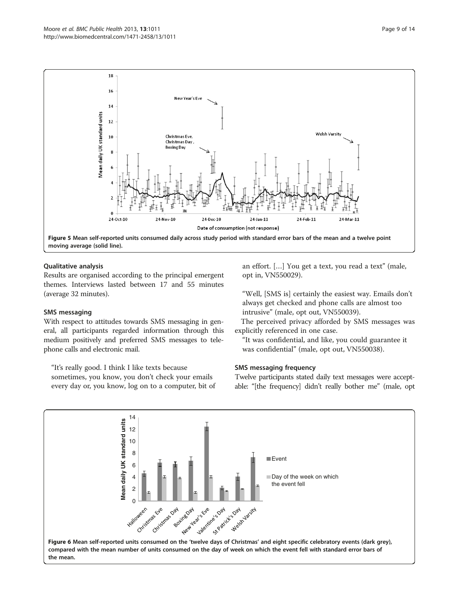<span id="page-8-0"></span>

#### Qualitative analysis

Results are organised according to the principal emergent themes. Interviews lasted between 17 and 55 minutes (average 32 minutes).

#### SMS messaging

With respect to attitudes towards SMS messaging in general, all participants regarded information through this medium positively and preferred SMS messages to telephone calls and electronic mail.

"It's really good. I think I like texts because sometimes, you know, you don't check your emails every day or, you know, log on to a computer, bit of an effort. […] You get a text, you read a text" (male, opt in, VN550029).

"Well, [SMS is] certainly the easiest way. Emails don't always get checked and phone calls are almost too intrusive" (male, opt out, VN550039).

The perceived privacy afforded by SMS messages was explicitly referenced in one case.

"It was confidential, and like, you could guarantee it was confidential" (male, opt out, VN550038).

#### SMS messaging frequency

Twelve participants stated daily text messages were acceptable: "[the frequency] didn't really bother me" (male, opt

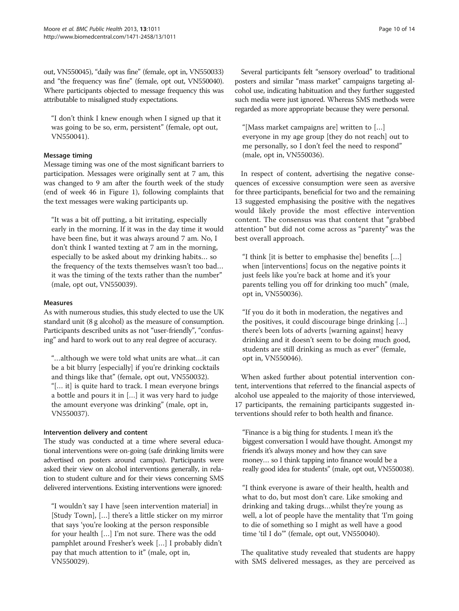out, VN550045), "daily was fine" (female, opt in, VN550033) and "the frequency was fine" (female, opt out, VN550040). Where participants objected to message frequency this was attributable to misaligned study expectations.

"I don't think I knew enough when I signed up that it was going to be so, erm, persistent" (female, opt out, VN550041).

#### Message timing

Message timing was one of the most significant barriers to participation. Messages were originally sent at 7 am, this was changed to 9 am after the fourth week of the study (end of week 46 in Figure [1\)](#page-3-0), following complaints that the text messages were waking participants up.

"It was a bit off putting, a bit irritating, especially early in the morning. If it was in the day time it would have been fine, but it was always around 7 am. No, I don't think I wanted texting at 7 am in the morning, especially to be asked about my drinking habits… so the frequency of the texts themselves wasn't too bad… it was the timing of the texts rather than the number" (male, opt out, VN550039).

#### Measures

As with numerous studies, this study elected to use the UK standard unit (8 g alcohol) as the measure of consumption. Participants described units as not "user-friendly", "confusing" and hard to work out to any real degree of accuracy.

"…although we were told what units are what…it can be a bit blurry [especially] if you're drinking cocktails and things like that" (female, opt out, VN550032). "[… it] is quite hard to track. I mean everyone brings a bottle and pours it in […] it was very hard to judge the amount everyone was drinking" (male, opt in, VN550037).

#### Intervention delivery and content

The study was conducted at a time where several educational interventions were on-going (safe drinking limits were advertised on posters around campus). Participants were asked their view on alcohol interventions generally, in relation to student culture and for their views concerning SMS delivered interventions. Existing interventions were ignored:

"I wouldn't say I have [seen intervention material] in [Study Town], […] there's a little sticker on my mirror that says 'you're looking at the person responsible for your health […] I'm not sure. There was the odd pamphlet around Fresher's week […] I probably didn't pay that much attention to it" (male, opt in, VN550029).

Several participants felt "sensory overload" to traditional posters and similar "mass market" campaigns targeting alcohol use, indicating habituation and they further suggested such media were just ignored. Whereas SMS methods were regarded as more appropriate because they were personal.

"[Mass market campaigns are] written to […] everyone in my age group [they do not reach] out to me personally, so I don't feel the need to respond" (male, opt in, VN550036).

In respect of content, advertising the negative consequences of excessive consumption were seen as aversive for three participants, beneficial for two and the remaining 13 suggested emphasising the positive with the negatives would likely provide the most effective intervention content. The consensus was that content that "grabbed attention" but did not come across as "parenty" was the best overall approach.

"I think [it is better to emphasise the] benefits […] when [interventions] focus on the negative points it just feels like you're back at home and it's your parents telling you off for drinking too much" (male, opt in, VN550036).

"If you do it both in moderation, the negatives and the positives, it could discourage binge drinking […] there's been lots of adverts [warning against] heavy drinking and it doesn't seem to be doing much good, students are still drinking as much as ever" (female, opt in, VN550046).

When asked further about potential intervention content, interventions that referred to the financial aspects of alcohol use appealed to the majority of those interviewed, 17 participants, the remaining participants suggested interventions should refer to both health and finance.

"Finance is a big thing for students. I mean it's the biggest conversation I would have thought. Amongst my friends it's always money and how they can save money… so I think tapping into finance would be a really good idea for students" (male, opt out, VN550038).

"I think everyone is aware of their health, health and what to do, but most don't care. Like smoking and drinking and taking drugs…whilst they're young as well, a lot of people have the mentality that 'I'm going to die of something so I might as well have a good time 'til I do'" (female, opt out, VN550040).

The qualitative study revealed that students are happy with SMS delivered messages, as they are perceived as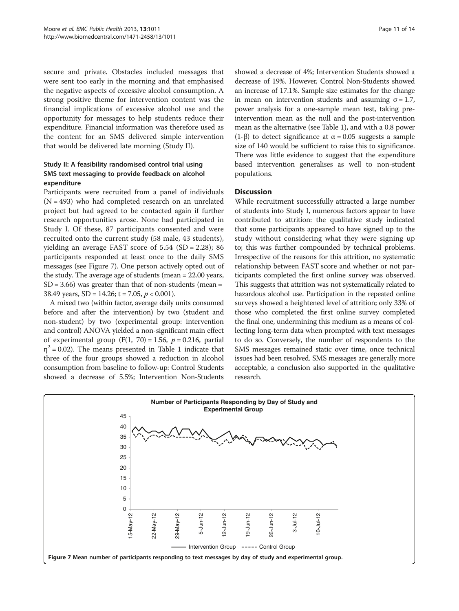secure and private. Obstacles included messages that were sent too early in the morning and that emphasised the negative aspects of excessive alcohol consumption. A strong positive theme for intervention content was the financial implications of excessive alcohol use and the opportunity for messages to help students reduce their expenditure. Financial information was therefore used as the content for an SMS delivered simple intervention that would be delivered late morning (Study II).

# Study II: A feasibility randomised control trial using SMS text messaging to provide feedback on alcohol expenditure

Participants were recruited from a panel of individuals  $(N = 493)$  who had completed research on an unrelated project but had agreed to be contacted again if further research opportunities arose. None had participated in Study I. Of these, 87 participants consented and were recruited onto the current study (58 male, 43 students), yielding an average FAST score of 5.54 (SD = 2.28); 86 participants responded at least once to the daily SMS messages (see Figure 7). One person actively opted out of the study. The average age of students (mean = 22.00 years,  $SD = 3.66$ ) was greater than that of non-students (mean = 38.49 years,  $SD = 14.26$ ; t = 7.05,  $p < 0.001$ ).

A mixed two (within factor, average daily units consumed before and after the intervention) by two (student and non-student) by two (experimental group: intervention and control) ANOVA yielded a non-significant main effect of experimental group  $(F(1, 70) = 1.56, p = 0.216,$  partial  $\eta^2$  = 0.02). The means presented in Table [1](#page-11-0) indicate that three of the four groups showed a reduction in alcohol consumption from baseline to follow-up: Control Students showed a decrease of 5.5%; Intervention Non-Students

showed a decrease of 4%; Intervention Students showed a decrease of 19%. However, Control Non-Students showed an increase of 17.1%. Sample size estimates for the change in mean on intervention students and assuming  $σ = 1.7$ , power analysis for a one-sample mean test, taking preintervention mean as the null and the post-intervention mean as the alternative (see Table [1\)](#page-11-0), and with a 0.8 power (1-β) to detect significance at  $\alpha$  = 0.05 suggests a sample size of 140 would be sufficient to raise this to significance. There was little evidence to suggest that the expenditure based intervention generalises as well to non-student populations.

#### **Discussion**

While recruitment successfully attracted a large number of students into Study I, numerous factors appear to have contributed to attrition: the qualitative study indicated that some participants appeared to have signed up to the study without considering what they were signing up to; this was further compounded by technical problems. Irrespective of the reasons for this attrition, no systematic relationship between FAST score and whether or not participants completed the first online survey was observed. This suggests that attrition was not systematically related to hazardous alcohol use. Participation in the repeated online surveys showed a heightened level of attrition; only 33% of those who completed the first online survey completed the final one, undermining this medium as a means of collecting long-term data when prompted with text messages to do so. Conversely, the number of respondents to the SMS messages remained static over time, once technical issues had been resolved. SMS messages are generally more acceptable, a conclusion also supported in the qualitative research.

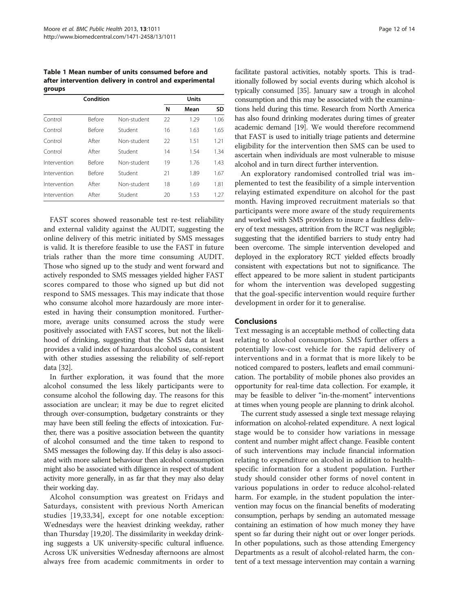<span id="page-11-0"></span>Table 1 Mean number of units consumed before and after intervention delivery in control and experimental groups

|              | Condition     |             |    | Units |      |  |
|--------------|---------------|-------------|----|-------|------|--|
|              |               |             | N  | Mean  | SD   |  |
| Control      | <b>Before</b> | Non-student | 22 | 1.29  | 1.06 |  |
| Control      | <b>Before</b> | Student     | 16 | 1.63  | 1.65 |  |
| Control      | After         | Non-student | 22 | 1.51  | 1.21 |  |
| Control      | After         | Student     | 14 | 1.54  | 1.34 |  |
| Intervention | <b>Before</b> | Non-student | 19 | 176   | 1.43 |  |
| Intervention | <b>Before</b> | Student     | 21 | 1.89  | 1.67 |  |
| Intervention | After         | Non-student | 18 | 1.69  | 1.81 |  |
| Intervention | After         | Student     | 20 | 1.53  | 1 27 |  |

FAST scores showed reasonable test re-test reliability and external validity against the AUDIT, suggesting the online delivery of this metric initiated by SMS messages is valid. It is therefore feasible to use the FAST in future trials rather than the more time consuming AUDIT. Those who signed up to the study and went forward and actively responded to SMS messages yielded higher FAST scores compared to those who signed up but did not respond to SMS messages. This may indicate that those who consume alcohol more hazardously are more interested in having their consumption monitored. Furthermore, average units consumed across the study were positively associated with FAST scores, but not the likelihood of drinking, suggesting that the SMS data at least provides a valid index of hazardous alcohol use, consistent with other studies assessing the reliability of self-report data [\[32\]](#page-13-0).

In further exploration, it was found that the more alcohol consumed the less likely participants were to consume alcohol the following day. The reasons for this association are unclear; it may be due to regret elicited through over-consumption, budgetary constraints or they may have been still feeling the effects of intoxication. Further, there was a positive association between the quantity of alcohol consumed and the time taken to respond to SMS messages the following day. If this delay is also associated with more salient behaviour then alcohol consumption might also be associated with diligence in respect of student activity more generally, in as far that they may also delay their working day.

Alcohol consumption was greatest on Fridays and Saturdays, consistent with previous North American studies [[19,33](#page-13-0),[34\]](#page-13-0), except for one notable exception: Wednesdays were the heaviest drinking weekday, rather than Thursday [[19,20](#page-13-0)]. The dissimilarity in weekday drinking suggests a UK university-specific cultural influence. Across UK universities Wednesday afternoons are almost always free from academic commitments in order to

facilitate pastoral activities, notably sports. This is traditionally followed by social events during which alcohol is typically consumed [[35](#page-13-0)]. January saw a trough in alcohol consumption and this may be associated with the examinations held during this time. Research from North America has also found drinking moderates during times of greater academic demand [\[19\]](#page-13-0). We would therefore recommend that FAST is used to initially triage patients and determine eligibility for the intervention then SMS can be used to ascertain when individuals are most vulnerable to misuse alcohol and in turn direct further intervention.

An exploratory randomised controlled trial was implemented to test the feasibility of a simple intervention relaying estimated expenditure on alcohol for the past month. Having improved recruitment materials so that participants were more aware of the study requirements and worked with SMS providers to insure a faultless delivery of text messages, attrition from the RCT was negligible; suggesting that the identified barriers to study entry had been overcome. The simple intervention developed and deployed in the exploratory RCT yielded effects broadly consistent with expectations but not to significance. The effect appeared to be more salient in student participants for whom the intervention was developed suggesting that the goal-specific intervention would require further development in order for it to generalise.

#### Conclusions

Text messaging is an acceptable method of collecting data relating to alcohol consumption. SMS further offers a potentially low-cost vehicle for the rapid delivery of interventions and in a format that is more likely to be noticed compared to posters, leaflets and email communication. The portability of mobile phones also provides an opportunity for real-time data collection. For example, it may be feasible to deliver "in-the-moment" interventions at times when young people are planning to drink alcohol.

The current study assessed a single text message relaying information on alcohol-related expenditure. A next logical stage would be to consider how variations in message content and number might affect change. Feasible content of such interventions may include financial information relating to expenditure on alcohol in addition to healthspecific information for a student population. Further study should consider other forms of novel content in various populations in order to reduce alcohol-related harm. For example, in the student population the intervention may focus on the financial benefits of moderating consumption, perhaps by sending an automated message containing an estimation of how much money they have spent so far during their night out or over longer periods. In other populations, such as those attending Emergency Departments as a result of alcohol-related harm, the content of a text message intervention may contain a warning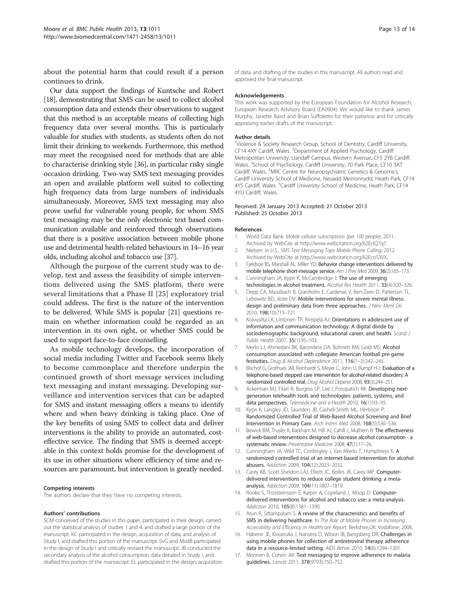<span id="page-12-0"></span>about the potential harm that could result if a person continues to drink.

Our data support the findings of Kuntsche and Robert [[18](#page-13-0)], demonstrating that SMS can be used to collect alcohol consumption data and extends their observations to suggest that this method is an acceptable means of collecting high frequency data over several months. This is particularly valuable for studies with students, as students often do not limit their drinking to weekends. Furthermore, this method may meet the recognised need for methods that are able to characterise drinking style [\[36\]](#page-13-0), in particular risky single occasion drinking. Two-way SMS text messaging provides an open and available platform well suited to collecting high frequency data from large numbers of individuals simultaneously. Moreover, SMS text messaging may also prove useful for vulnerable young people, for whom SMS text messaging may be the only electronic text based communication available and reinforced through observations that there is a positive association between mobile phone use and detrimental health-related behaviours in 14–16 year olds, including alcohol and tobacco use [\[37\]](#page-13-0).

Although the purpose of the current study was to develop, test and assess the feasibility of simple interventions delivered using the SMS platform, there were several limitations that a Phase II [\[25](#page-13-0)] exploratory trial could address. The first is the nature of the intervention to be delivered. While SMS is popular [\[21\]](#page-13-0) questions remain on whether information could be regarded as an intervention in its own right, or whether SMS could be used to support face-to-face counselling.

As mobile technology develops, the incorporation of social media including Twitter and Facebook seems likely to become commonplace and therefore underpin the continued growth of short message services including text messaging and instant messaging. Developing surveillance and intervention services that can be adapted for SMS and instant messaging offers a means to identify where and when heavy drinking is taking place. One of the key benefits of using SMS to collect data and deliver interventions is the ability to provide an automated, costeffective service. The finding that SMS is deemed acceptable in this context holds promise for the development of its use in other situations where efficiency of time and resources are paramount, but intervention is greatly needed.

#### Competing interests

The authors declare that they have no competing interests.

#### Authors' contributions

SCM conceived of the studies in this paper, participated in their design, carried out the statistical analysis of studies 1 and 4, and drafted a large portion of the manuscript. KC participated in the design, acquisition of data, and analysis of Study I, and drafted this portion of the manuscript. SvG and MvdB participated in the design of Study I and critically revised the manuscript. JB conducted the secondary analysis of the alcohol consumption data detailed in Study I, and drafted this portion of the manuscript. EL participated in the design, acquisition

of data, and drafting of the studies in this manuscript. All authors read and approved the final manuscript.

#### Acknowledgements

This work was supported by the European Foundation for Alcohol Research, European Research Advisory Board (EA0904). We would like to thank James Murphy, Janette Baird and Brian Suffoletto for their patience and for critically appraising earlier drafts of the manuscript.

#### Author details

<sup>1</sup>Violence & Society Research Group, School of Dentistry, Cardiff University CF14 4XY Cardiff, Wales. <sup>2</sup>Department of Applied Psychology, Cardiff Metropolitan University, Llandaff Campus, Western Avenue, CF5 2YB Cardiff, Wales. <sup>3</sup>School of Psychology, Cardiff University, 70 Park Place, CF10 3AT Cardiff, Wales. <sup>4</sup>MRC Centre for Neuropsychiatric Genetics & Genomics, Cardiff University School of Medicine, Neuadd Meirionnydd, Heath Park, CF14 4YS Cardiff, Wales. <sup>5</sup>Cardiff University School of Medicine, Heath Park, CF14 4YU Cardiff, Wales.

#### Received: 24 January 2013 Accepted: 21 October 2013 Published: 25 October 2013

#### References

- 1. World Data Bank: Mobile cellular subscriptions (per 100 people); 2011. Archived by WebCite at<http://www.webcitation.org/62EcIQ7q7>.
- 2. Nielsen: In U.S., SMS Text Messaging Tops Mobile Phone Calling; 2012. Archived by WebCite at<http://www.webcitation.org/62EcoS3VX>.
- 3. Fjeldsoe BS, Marshall AL, Miller YD: Behavior change interventions delivered by mobile telephone short-message service. Am J Prev Med 2009, 36(2):165–173.
- 4. Cunningham JA, Kypri K, McCambridge J: The use of emerging technologies in alcohol treatment. Alcohol Res Health 2011, 33(4):320-326.
- 5. Depp CA, Mausbach B, Granholm E, Cardenas V, Ben-Zeev D, Patterson TL, Lebowitz BD, Jeste DV: Mobile interventions for severe mental illness: design and preliminary data from three approaches. J Nerv Ment Dis 2010, 198(10):715–721.
- 6. Koivusilta LK, Lintonen TP, Rimpelä AJ: Orientations in adolescent use of information and communication technology: A digital divide by sociodemographic background, educational career, and health. Scand J Public Health 2007, 35(1):95–103.
- 7. Merlo LJ, Ahmedani BK, Barondess DA, Bohnert KM, Gold MS: Alcohol consumption associated with collegiate American football pre-game festivities. Drug & Alcohol Dependence 2011, 116(1–3):242–245.
- 8. Bischof G, Grothues JM, Reinhardt S, Meyer C, John U, Rumpf H-J: Evaluation of a telephone-based stepped care intervention for alcohol-related disorders: A randomized controlled trial. Drug Alcohol Depend 2008, 93(3):244–251.
- 9. Ackerman MJ, Filart R, Burgess LP, Lee I, Poropatich RK: Developing nextgeneration telehealth tools and technologies: patients, systems, and data perspectives. Telemedicine and e-Health 2010, 16(1):93-95.
- 10. Kypri K, Langley JD, Saunders JB, Cashell-Smith ML, Herbison P: Randomized Controlled Trial of Web-Based Alcohol Screening and Brief Intervention in Primary Care. Arch Intern Med 2008, 168(5):530–536.
- 11. Bewick BM, Trusler K, Barkham M, Hill AJ, Cahill J, Mulhern B: The effectiveness of web-based interventions designed to decrease alcohol consumption - a systematic review. Preventative Medicine 2008, 47(1):17–26.
- 12. Cunningham JA, Wild TC, Cordingley J, Van Mierlo T, Humphreys K: A randomized controlled trial of an internet-based intervention for alcohol abusers. Addiction 2009, 104(12):2023–2032.
- 13. Carey KB, Scott-Sheldon LAJ, Elliott JC, Bolles JR, Carey MP: Computerdelivered interventions to reduce college student drinking: a metaanalysis. Addiction 2009, 104(11):1807–1819.
- 14. Rooke S, Thorsteinsson E, Karpin A, Copeland J, Allsop D: Computerdelivered interventions for alcohol and tobacco use: a meta-analysis. Addiction 2010, 105(8):1381–1390.
- 15. Atun R, Sittampalam S: A review of the characteristics and benefits of SMS in delivering healthcare. In The Role of Mobile Phones in Increasing Accessibility and Efficiency in Healthcare Report. Berkshire,UK: Vodafone; 2006.
- 16. Haberer JE, Kiwanuka J, Nansera D, Wilson IB, Bangsberg DR: Challenges in using mobile phones for collection of antiretroviral therapy adherence data in a resource-limited setting. AIDS Behav 2010, 14(6):1294–1301.
- 17. Moonen B, Cohen JM: Text messaging to improve adherence to malaria guidelines. Lancet 2011, 378(9793):750–752.